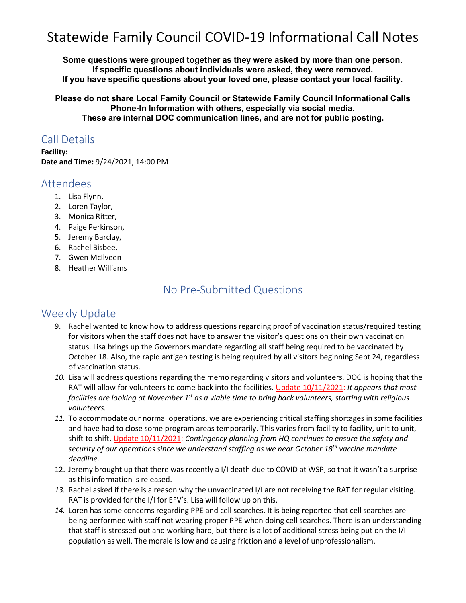# Statewide Family Council COVID-19 Informational Call Notes

**Some questions were grouped together as they were asked by more than one person. If specific questions about individuals were asked, they were removed. If you have specific questions about your loved one, please contact your local facility.**

**Please do not share Local Family Council or Statewide Family Council Informational Calls Phone-In Information with others, especially via social media. These are internal DOC communication lines, and are not for public posting.**

#### Call Details

**Facility: Date and Time:** 9/24/2021, 14:00 PM

#### Attendees

- 1. Lisa Flynn,
- 2. Loren Taylor,
- 3. Monica Ritter,
- 4. Paige Perkinson,
- 5. Jeremy Barclay,
- 6. Rachel Bisbee,
- 7. Gwen McIlveen
- 8. Heather Williams

### No Pre-Submitted Questions

#### Weekly Update

- 9. Rachel wanted to know how to address questions regarding proof of vaccination status/required testing for visitors when the staff does not have to answer the visitor's questions on their own vaccination status. Lisa brings up the Governors mandate regarding all staff being required to be vaccinated by October 18. Also, the rapid antigen testing is being required by all visitors beginning Sept 24, regardless of vaccination status.
- *10.* Lisa will address questions regarding the memo regarding visitors and volunteers. DOC is hoping that the RAT will allow for volunteers to come back into the facilities. Update 10/11/2021: *It appears that most facilities are looking at November 1st as a viable time to bring back volunteers, starting with religious volunteers.*
- *11.* To accommodate our normal operations, we are experiencing critical staffing shortages in some facilities and have had to close some program areas temporarily. This varies from facility to facility, unit to unit, shift to shift. Update 10/11/2021: *Contingency planning from HQ continues to ensure the safety and security of our operations since we understand staffing as we near October 18th vaccine mandate deadline.*
- 12. Jeremy brought up that there was recently a I/I death due to COVID at WSP, so that it wasn't a surprise as this information is released.
- *13.* Rachel asked if there is a reason why the unvaccinated I/I are not receiving the RAT for regular visiting. RAT is provided for the I/I for EFV's. Lisa will follow up on this.
- *14.* Loren has some concerns regarding PPE and cell searches. It is being reported that cell searches are being performed with staff not wearing proper PPE when doing cell searches. There is an understanding that staff is stressed out and working hard, but there is a lot of additional stress being put on the I/I population as well. The morale is low and causing friction and a level of unprofessionalism.